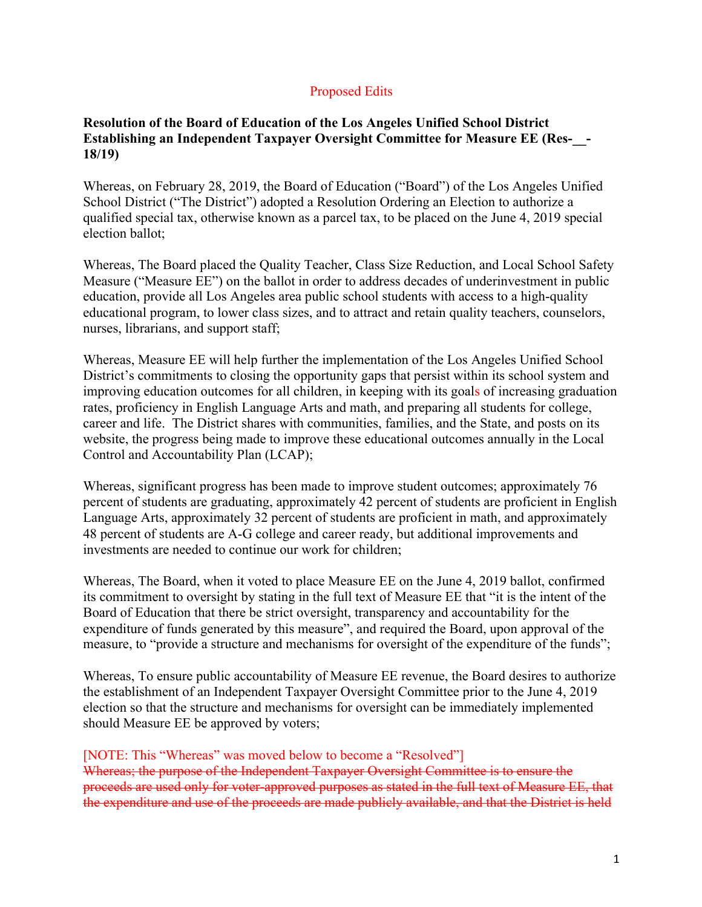## Proposed Edits

## **Resolution of the Board of Education of the Los Angeles Unified School District Establishing an Independent Taxpayer Oversight Committee for Measure EE (Res-\_\_- 18/19)**

Whereas, on February 28, 2019, the Board of Education ("Board") of the Los Angeles Unified School District ("The District") adopted a Resolution Ordering an Election to authorize a qualified special tax, otherwise known as a parcel tax, to be placed on the June 4, 2019 special election ballot;

Whereas, The Board placed the Quality Teacher, Class Size Reduction, and Local School Safety Measure ("Measure EE") on the ballot in order to address decades of underinvestment in public education, provide all Los Angeles area public school students with access to a high-quality educational program, to lower class sizes, and to attract and retain quality teachers, counselors, nurses, librarians, and support staff;

Whereas, Measure EE will help further the implementation of the Los Angeles Unified School District's commitments to closing the opportunity gaps that persist within its school system and improving education outcomes for all children, in keeping with its goals of increasing graduation rates, proficiency in English Language Arts and math, and preparing all students for college, career and life. The District shares with communities, families, and the State, and posts on its website, the progress being made to improve these educational outcomes annually in the Local Control and Accountability Plan (LCAP);

Whereas, significant progress has been made to improve student outcomes; approximately 76 percent of students are graduating, approximately 42 percent of students are proficient in English Language Arts, approximately 32 percent of students are proficient in math, and approximately 48 percent of students are A-G college and career ready, but additional improvements and investments are needed to continue our work for children;

Whereas, The Board, when it voted to place Measure EE on the June 4, 2019 ballot, confirmed its commitment to oversight by stating in the full text of Measure EE that "it is the intent of the Board of Education that there be strict oversight, transparency and accountability for the expenditure of funds generated by this measure", and required the Board, upon approval of the measure, to "provide a structure and mechanisms for oversight of the expenditure of the funds";

Whereas, To ensure public accountability of Measure EE revenue, the Board desires to authorize the establishment of an Independent Taxpayer Oversight Committee prior to the June 4, 2019 election so that the structure and mechanisms for oversight can be immediately implemented should Measure EE be approved by voters;

## [NOTE: This "Whereas" was moved below to become a "Resolved"]

Whereas; the purpose of the Independent Taxpayer Oversight Committee is to ensure the proceeds are used only for voter-approved purposes as stated in the full text of Measure EE, that the expenditure and use of the proceeds are made publicly available, and that the District is held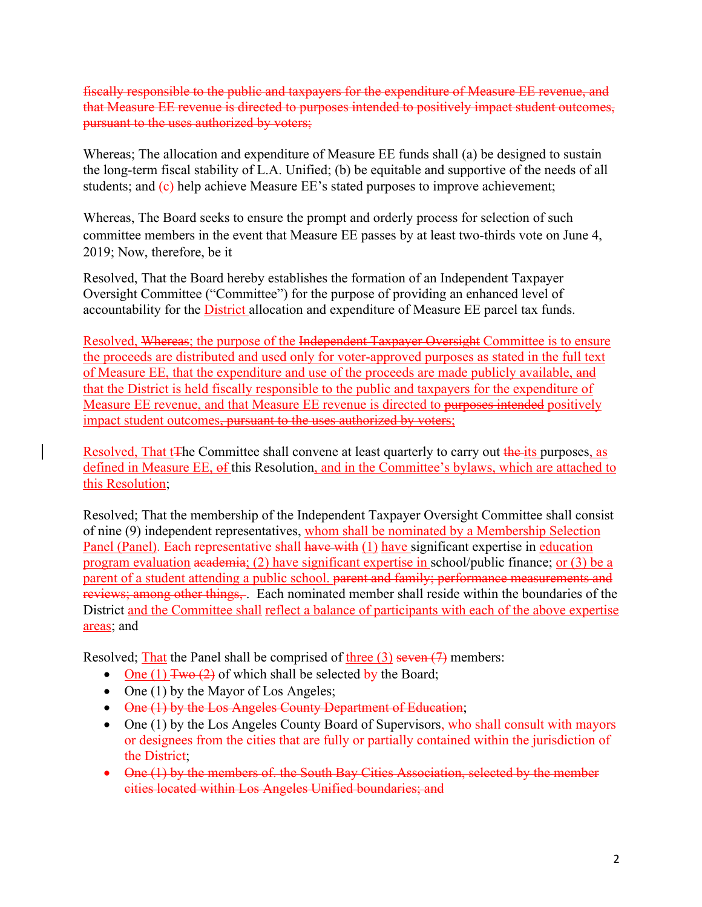fiscally responsible to the public and taxpayers for the expenditure of Measure EE revenue, and that Measure EE revenue is directed to purposes intended to positively impact student outcomes, pursuant to the uses authorized by voters;

Whereas; The allocation and expenditure of Measure EE funds shall (a) be designed to sustain the long-term fiscal stability of L.A. Unified; (b) be equitable and supportive of the needs of all students; and (c) help achieve Measure EE's stated purposes to improve achievement;

Whereas, The Board seeks to ensure the prompt and orderly process for selection of such committee members in the event that Measure EE passes by at least two-thirds vote on June 4, 2019; Now, therefore, be it

Resolved, That the Board hereby establishes the formation of an Independent Taxpayer Oversight Committee ("Committee") for the purpose of providing an enhanced level of accountability for the District allocation and expenditure of Measure EE parcel tax funds.

Resolved, Whereas; the purpose of the Independent Taxpayer Oversight Committee is to ensure the proceeds are distributed and used only for voter-approved purposes as stated in the full text of Measure EE, that the expenditure and use of the proceeds are made publicly available, and that the District is held fiscally responsible to the public and taxpayers for the expenditure of Measure EE revenue, and that Measure EE revenue is directed to purposes intended positively impact student outcomes, pursuant to the uses authorized by voters;

Resolved, That t<sub>T</sub>he Committee shall convene at least quarterly to carry out the its purposes, as defined in Measure EE, of this Resolution, and in the Committee's bylaws, which are attached to this Resolution;

Resolved; That the membership of the Independent Taxpayer Oversight Committee shall consist of nine (9) independent representatives, whom shall be nominated by a Membership Selection Panel (Panel). Each representative shall have with (1) have significant expertise in education program evaluation academia; (2) have significant expertise in school/public finance; or (3) be a parent of a student attending a public school. parent and family; performance measurements and reviews; among other things,. Each nominated member shall reside within the boundaries of the District and the Committee shall reflect a balance of participants with each of the above expertise areas; and

Resolved; That the Panel shall be comprised of three  $(3)$  seven  $(7)$  members:

- One (1)  $\frac{\text{Two} (2)}{\text{Two} (2)}$  of which shall be selected by the Board;
- One (1) by the Mayor of Los Angeles;
- One (1) by the Los Angeles County Department of Education;
- One (1) by the Los Angeles County Board of Supervisors, who shall consult with mayors or designees from the cities that are fully or partially contained within the jurisdiction of the District;
- One (1) by the members of. the South Bay Cities Association, selected by the member cities located within Los Angeles Unified boundaries; and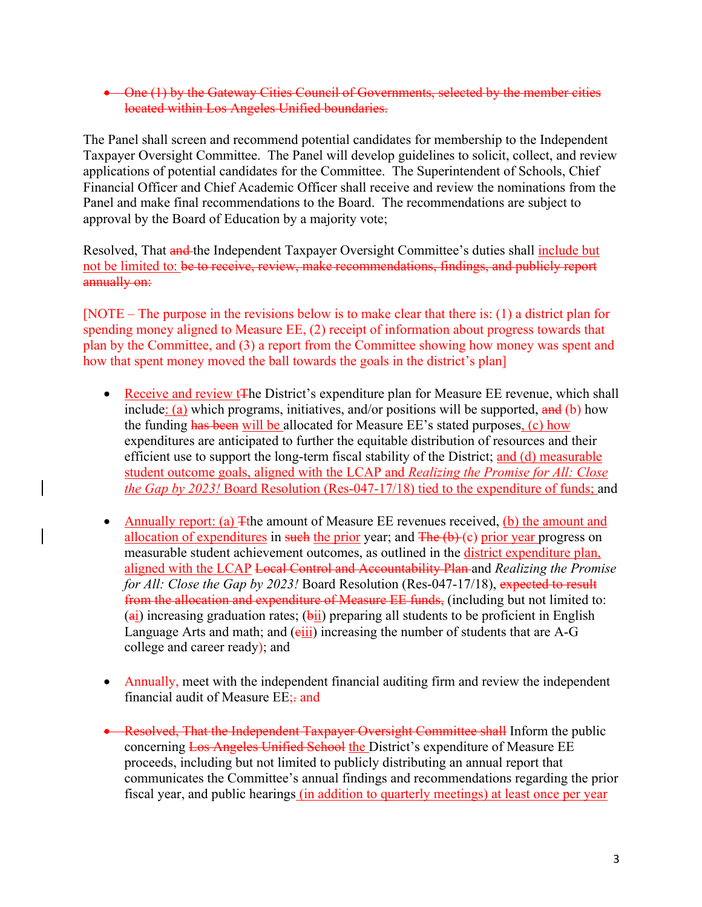## • One (1) by the Gateway Cities Council of Governments, selected by the member cities located within Los Angeles Unified boundaries.

The Panel shall screen and recommend potential candidates for membership to the Independent Taxpayer Oversight Committee. The Panel will develop guidelines to solicit, collect, and review applications of potential candidates for the Committee. The Superintendent of Schools, Chief Financial Officer and Chief Academic Officer shall receive and review the nominations from the Panel and make final recommendations to the Board. The recommendations are subject to approval by the Board of Education by a majority vote;

Resolved, That and the Independent Taxpayer Oversight Committee's duties shall include but not be limited to: be to receive, review, make recommendations, findings, and publicly report annually on:

[NOTE – The purpose in the revisions below is to make clear that there is: (1) a district plan for spending money aligned to Measure EE, (2) receipt of information about progress towards that plan by the Committee, and (3) a report from the Committee showing how money was spent and how that spent money moved the ball towards the goals in the district's plan]

- Receive and review t<sup>T</sup>he District's expenditure plan for Measure EE revenue, which shall include: (a) which programs, initiatives, and/or positions will be supported,  $\frac{d}{dt}$  (b) how the funding has been will be allocated for Measure EE's stated purposes, (c) how expenditures are anticipated to further the equitable distribution of resources and their efficient use to support the long-term fiscal stability of the District; and (d) measurable student outcome goals, aligned with the LCAP and *Realizing the Promise for All: Close the Gap by 2023!* Board Resolution (Res-047-17/18) tied to the expenditure of funds; and
- Annually report: (a)  $\pm$ the amount of Measure EE revenues received, (b) the amount and allocation of expenditures in such the prior year; and  $\overline{\text{The (b)}(c)}$  prior year progress on measurable student achievement outcomes, as outlined in the district expenditure plan, aligned with the LCAP Local Control and Accountability Plan and *Realizing the Promise for All: Close the Gap by 2023!* Board Resolution (Res-047-17/18), expected to result from the allocation and expenditure of Measure EE funds, (including but not limited to:  $(a_i)$  increasing graduation rates;  $(b_i)$  preparing all students to be proficient in English Language Arts and math; and  $(eiii)$  increasing the number of students that are A-G college and career ready); and
- Annually, meet with the independent financial auditing firm and review the independent financial audit of Measure EE;- and
- Resolved, That the Independent Taxpayer Oversight Committee shall Inform the public concerning Los Angeles Unified School the District's expenditure of Measure EE proceeds, including but not limited to publicly distributing an annual report that communicates the Committee's annual findings and recommendations regarding the prior fiscal year, and public hearings (in addition to quarterly meetings) at least once per year